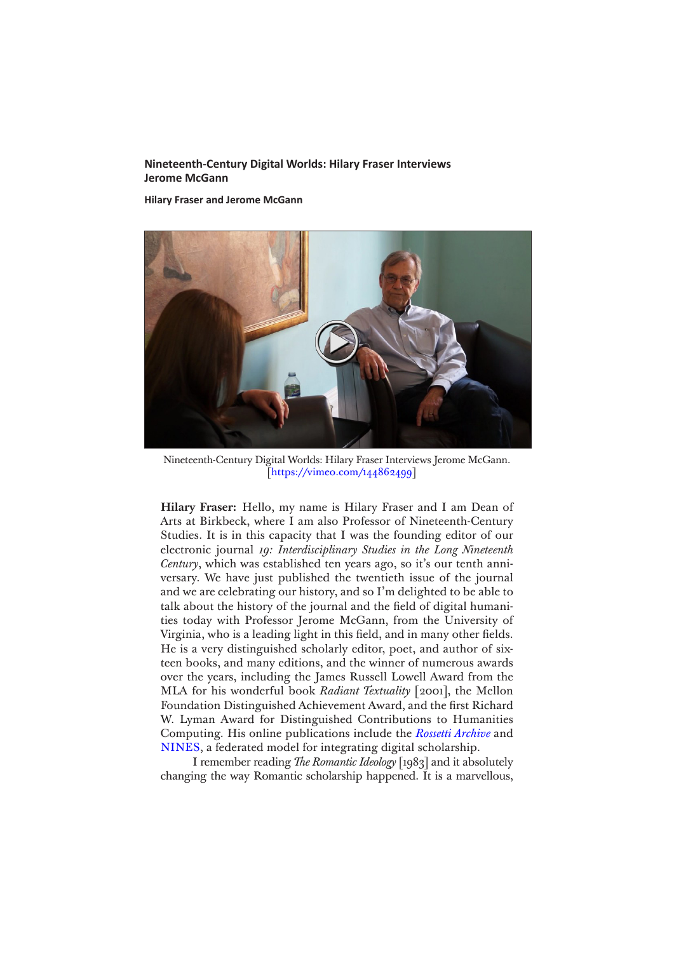# **Nineteenth-Century Digital Worlds: Hilary Fraser Interviews Jerome McGann**

**Hilary Fraser and Jerome McGann**



[Nineteenth-Century Digital Worlds: Hilary Fraser Interviews Jerome McGann.](https://vimeo.com/144862499) [<https://vimeo.com/144862499>]

**Hilary Fraser:** Hello, my name is Hilary Fraser and I am Dean of Arts at Birkbeck, where I am also Professor of Nineteenth-Century Studies. It is in this capacity that I was the founding editor of our electronic journal *19: Interdisciplinary Studies in the Long Nineteenth Century*, which was established ten years ago, so it's our tenth anniversary. We have just published the twentieth issue of the journal and we are celebrating our history, and so I'm delighted to be able to talk about the history of the journal and the field of digital humanities today with Professor Jerome McGann, from the University of Virginia, who is a leading light in this field, and in many other fields. He is a very distinguished scholarly editor, poet, and author of sixteen books, and many editions, and the winner of numerous awards over the years, including the James Russell Lowell Award from the MLA for his wonderful book *Radiant Textuality* [2001], the Mellon Foundation Distinguished Achievement Award, and the first Richard W. Lyman Award for Distinguished Contributions to Humanities Computing. His online publications include the *[Rossetti Archive](http://www.rossettiarchive.org)* and [NINES,](http://www.nines.org/) a federated model for integrating digital scholarship.

I remember reading *The Romantic Ideology* [1983] and it absolutely changing the way Romantic scholarship happened. It is a marvellous,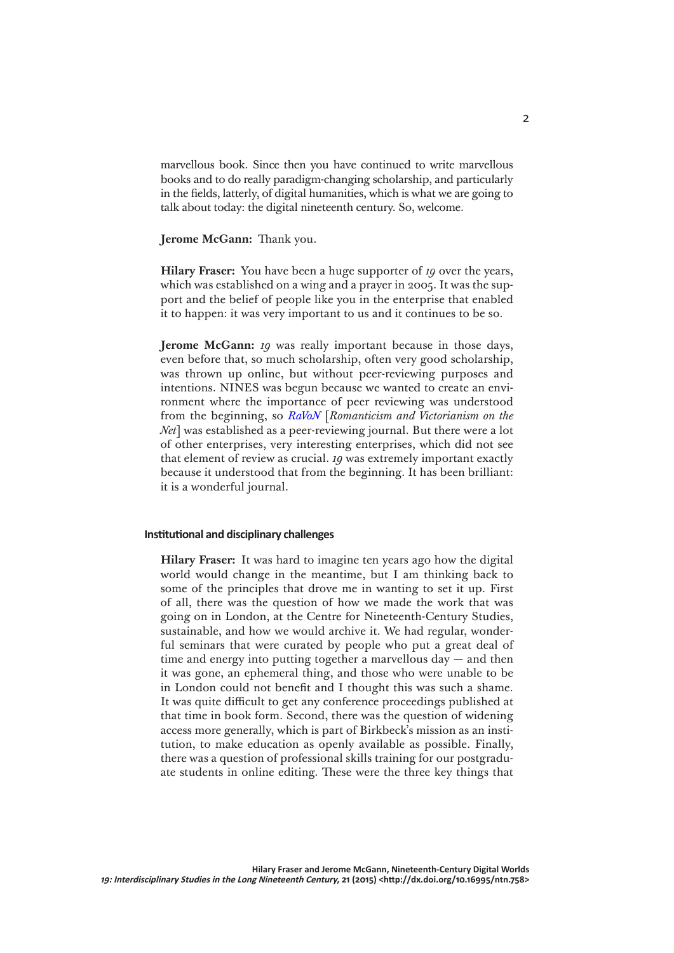marvellous book. Since then you have continued to write marvellous books and to do really paradigm-changing scholarship, and particularly in the fields, latterly, of digital humanities, which is what we are going to talk about today: the digital nineteenth century. So, welcome.

# **Jerome McGann:** Thank you.

**Hilary Fraser:** You have been a huge supporter of *19* over the years, which was established on a wing and a prayer in 2005. It was the support and the belief of people like you in the enterprise that enabled it to happen: it was very important to us and it continues to be so.

**Jerome McGann:** *19* was really important because in those days, even before that, so much scholarship, often very good scholarship, was thrown up online, but without peer-reviewing purposes and intentions. NINES was begun because we wanted to create an environment where the importance of peer reviewing was understood from the beginning, so *[RaVoN](http://ravonjournal.org/about/)* [*Romanticism and Victorianism on the Net*] was established as a peer-reviewing journal. But there were a lot of other enterprises, very interesting enterprises, which did not see that element of review as crucial. *19* was extremely important exactly because it understood that from the beginning. It has been brilliant: it is a wonderful journal.

# **Institutional and disciplinary challenges**

**Hilary Fraser:** It was hard to imagine ten years ago how the digital world would change in the meantime, but I am thinking back to some of the principles that drove me in wanting to set it up. First of all, there was the question of how we made the work that was going on in London, at the Centre for Nineteenth-Century Studies, sustainable, and how we would archive it. We had regular, wonderful seminars that were curated by people who put a great deal of time and energy into putting together a marvellous day — and then it was gone, an ephemeral thing, and those who were unable to be in London could not benefit and I thought this was such a shame. It was quite difficult to get any conference proceedings published at that time in book form. Second, there was the question of widening access more generally, which is part of Birkbeck's mission as an institution, to make education as openly available as possible. Finally, there was a question of professional skills training for our postgraduate students in online editing. These were the three key things that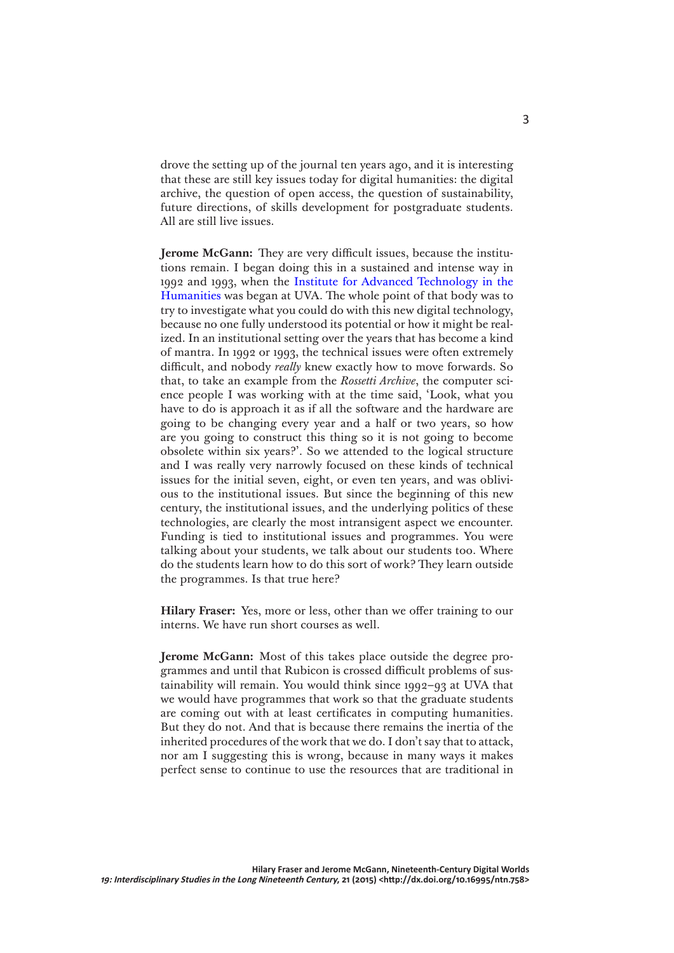drove the setting up of the journal ten years ago, and it is interesting that these are still key issues today for digital humanities: the digital archive, the question of open access, the question of sustainability, future directions, of skills development for postgraduate students. All are still live issues.

**Jerome McGann:** They are very difficult issues, because the institutions remain. I began doing this in a sustained and intense way in 1992 and 1993, when the [Institute for Advanced Technology in the](http://www.iath.virginia.edu/)  [Humanities](http://www.iath.virginia.edu/) was began at UVA. The whole point of that body was to try to investigate what you could do with this new digital technology, because no one fully understood its potential or how it might be realized. In an institutional setting over the years that has become a kind of mantra. In 1992 or 1993, the technical issues were often extremely difficult, and nobody *really* knew exactly how to move forwards. So that, to take an example from the *Rossetti Archive*, the computer science people I was working with at the time said, 'Look, what you have to do is approach it as if all the software and the hardware are going to be changing every year and a half or two years, so how are you going to construct this thing so it is not going to become obsolete within six years?'. So we attended to the logical structure and I was really very narrowly focused on these kinds of technical issues for the initial seven, eight, or even ten years, and was oblivious to the institutional issues. But since the beginning of this new century, the institutional issues, and the underlying politics of these technologies, are clearly the most intransigent aspect we encounter. Funding is tied to institutional issues and programmes. You were talking about your students, we talk about our students too. Where do the students learn how to do this sort of work? They learn outside the programmes. Is that true here?

**Hilary Fraser:** Yes, more or less, other than we offer training to our interns. We have run short courses as well.

**Jerome McGann:** Most of this takes place outside the degree programmes and until that Rubicon is crossed difficult problems of sustainability will remain. You would think since 1992–93 at UVA that we would have programmes that work so that the graduate students are coming out with at least certificates in computing humanities. But they do not. And that is because there remains the inertia of the inherited procedures of the work that we do. I don't say that to attack, nor am I suggesting this is wrong, because in many ways it makes perfect sense to continue to use the resources that are traditional in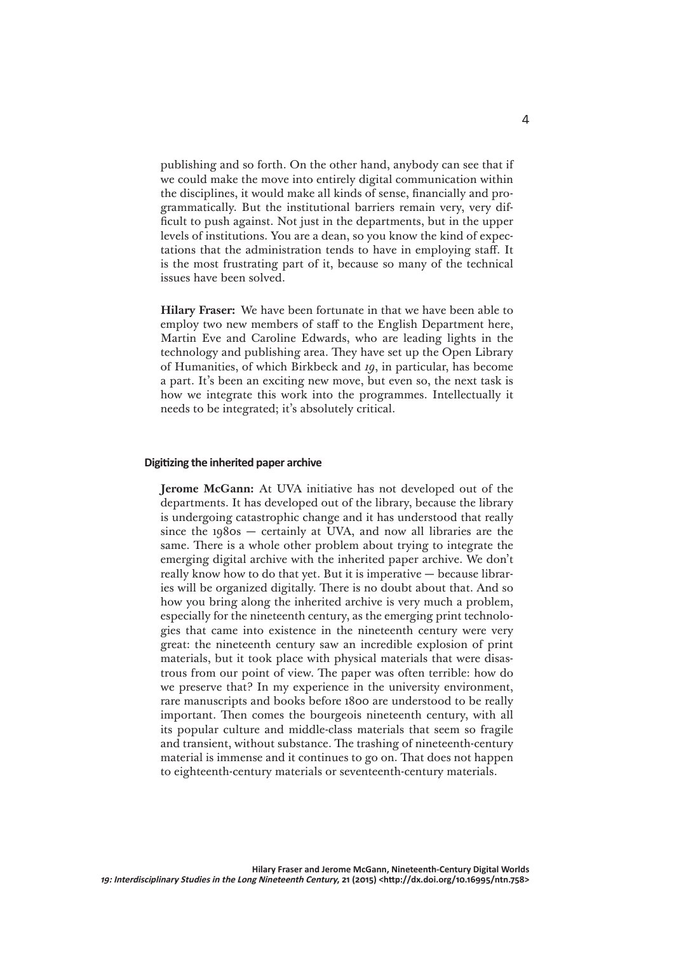publishing and so forth. On the other hand, anybody can see that if we could make the move into entirely digital communication within the disciplines, it would make all kinds of sense, financially and programmatically. But the institutional barriers remain very, very difficult to push against. Not just in the departments, but in the upper levels of institutions. You are a dean, so you know the kind of expectations that the administration tends to have in employing staff. It is the most frustrating part of it, because so many of the technical issues have been solved.

**Hilary Fraser:** We have been fortunate in that we have been able to employ two new members of staff to the English Department here, Martin Eve and Caroline Edwards, who are leading lights in the technology and publishing area. They have set up the Open Library of Humanities, of which Birkbeck and *19*, in particular, has become a part. It's been an exciting new move, but even so, the next task is how we integrate this work into the programmes. Intellectually it needs to be integrated; it's absolutely critical.

### **Digitizing the inherited paper archive**

**Jerome McGann:** At UVA initiative has not developed out of the departments. It has developed out of the library, because the library is undergoing catastrophic change and it has understood that really since the 1980s — certainly at UVA, and now all libraries are the same. There is a whole other problem about trying to integrate the emerging digital archive with the inherited paper archive. We don't really know how to do that yet. But it is imperative — because libraries will be organized digitally. There is no doubt about that. And so how you bring along the inherited archive is very much a problem, especially for the nineteenth century, as the emerging print technologies that came into existence in the nineteenth century were very great: the nineteenth century saw an incredible explosion of print materials, but it took place with physical materials that were disastrous from our point of view. The paper was often terrible: how do we preserve that? In my experience in the university environment, rare manuscripts and books before 1800 are understood to be really important. Then comes the bourgeois nineteenth century, with all its popular culture and middle-class materials that seem so fragile and transient, without substance. The trashing of nineteenth-century material is immense and it continues to go on. That does not happen to eighteenth-century materials or seventeenth-century materials.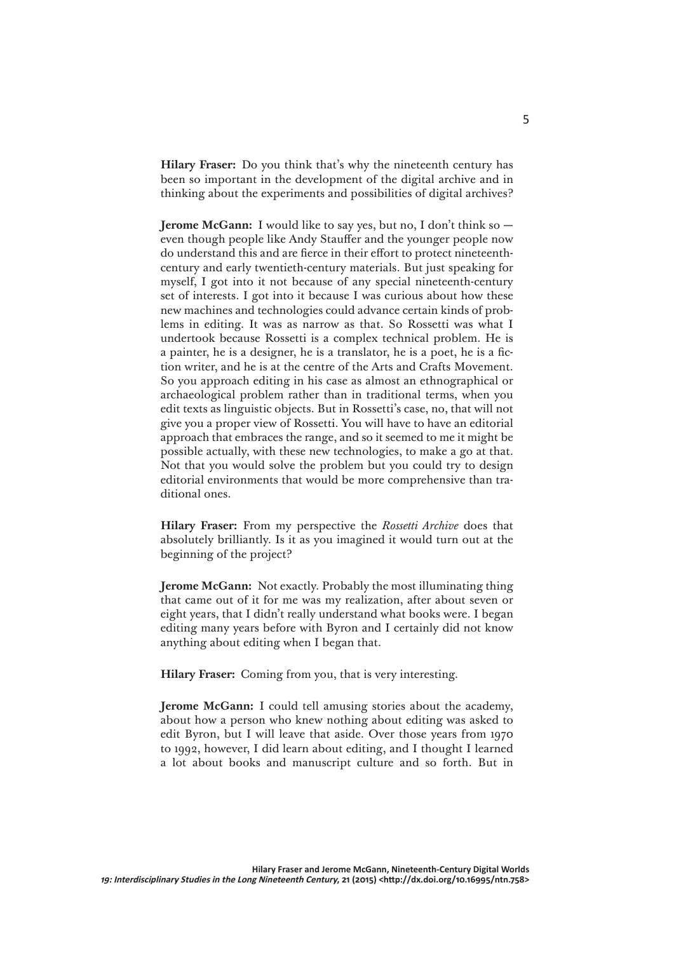**Hilary Fraser:** Do you think that's why the nineteenth century has been so important in the development of the digital archive and in thinking about the experiments and possibilities of digital archives?

**Jerome McGann:** I would like to say yes, but no, I don't think so even though people like Andy Stauffer and the younger people now do understand this and are fierce in their effort to protect nineteenthcentury and early twentieth-century materials. But just speaking for myself, I got into it not because of any special nineteenth-century set of interests. I got into it because I was curious about how these new machines and technologies could advance certain kinds of problems in editing. It was as narrow as that. So Rossetti was what I undertook because Rossetti is a complex technical problem. He is a painter, he is a designer, he is a translator, he is a poet, he is a fiction writer, and he is at the centre of the Arts and Crafts Movement. So you approach editing in his case as almost an ethnographical or archaeological problem rather than in traditional terms, when you edit texts as linguistic objects. But in Rossetti's case, no, that will not give you a proper view of Rossetti. You will have to have an editorial approach that embraces the range, and so it seemed to me it might be possible actually, with these new technologies, to make a go at that. Not that you would solve the problem but you could try to design editorial environments that would be more comprehensive than traditional ones.

**Hilary Fraser:** From my perspective the *Rossetti Archive* does that absolutely brilliantly. Is it as you imagined it would turn out at the beginning of the project?

**Jerome McGann:** Not exactly. Probably the most illuminating thing that came out of it for me was my realization, after about seven or eight years, that I didn't really understand what books were. I began editing many years before with Byron and I certainly did not know anything about editing when I began that.

**Hilary Fraser:** Coming from you, that is very interesting.

**Jerome McGann:** I could tell amusing stories about the academy, about how a person who knew nothing about editing was asked to edit Byron, but I will leave that aside. Over those years from 1970 to 1992, however, I did learn about editing, and I thought I learned a lot about books and manuscript culture and so forth. But in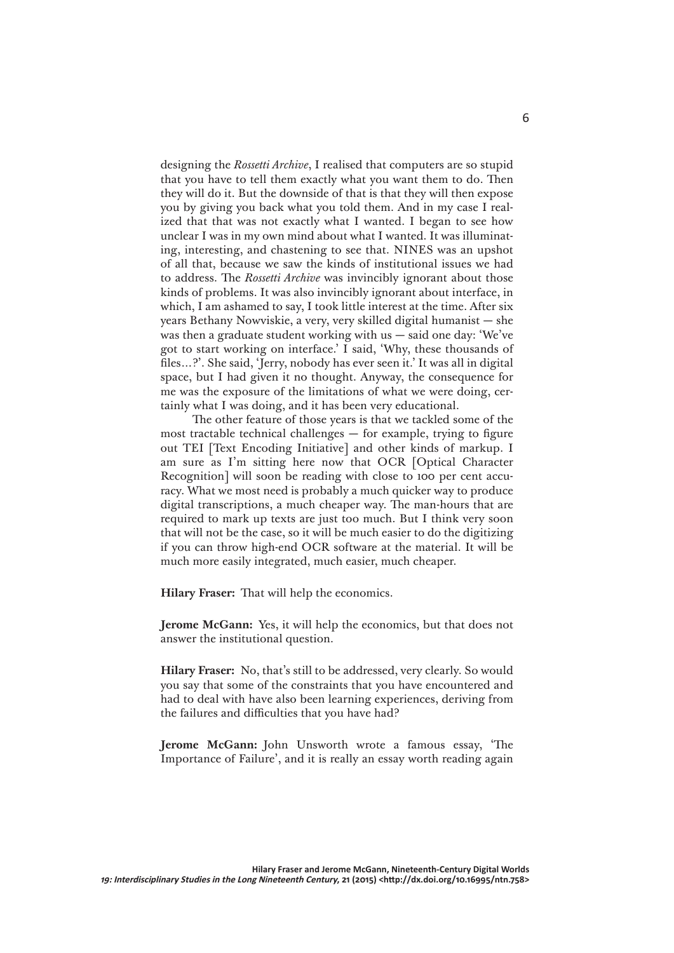designing the *Rossetti Archive*, I realised that computers are so stupid that you have to tell them exactly what you want them to do. Then they will do it. But the downside of that is that they will then expose you by giving you back what you told them. And in my case I realized that that was not exactly what I wanted. I began to see how unclear I was in my own mind about what I wanted. It was illuminating, interesting, and chastening to see that. NINES was an upshot of all that, because we saw the kinds of institutional issues we had to address. The *Rossetti Archive* was invincibly ignorant about those kinds of problems. It was also invincibly ignorant about interface, in which, I am ashamed to say, I took little interest at the time. After six years Bethany Nowviskie, a very, very skilled digital humanist — she was then a graduate student working with us  $-$  said one day: 'We've got to start working on interface.' I said, 'Why, these thousands of files…?'. She said, 'Jerry, nobody has ever seen it.' It was all in digital space, but I had given it no thought. Anyway, the consequence for me was the exposure of the limitations of what we were doing, certainly what I was doing, and it has been very educational.

The other feature of those years is that we tackled some of the most tractable technical challenges — for example, trying to figure out TEI [Text Encoding Initiative] and other kinds of markup. I am sure as I'm sitting here now that OCR [Optical Character Recognition] will soon be reading with close to 100 per cent accuracy. What we most need is probably a much quicker way to produce digital transcriptions, a much cheaper way. The man-hours that are required to mark up texts are just too much. But I think very soon that will not be the case, so it will be much easier to do the digitizing if you can throw high-end OCR software at the material. It will be much more easily integrated, much easier, much cheaper.

**Hilary Fraser:** That will help the economics.

**Jerome McGann:** Yes, it will help the economics, but that does not answer the institutional question.

**Hilary Fraser:** No, that's still to be addressed, very clearly. So would you say that some of the constraints that you have encountered and had to deal with have also been learning experiences, deriving from the failures and difficulties that you have had?

**Jerome McGann:** John Unsworth wrote a famous essay, 'The Importance of Failure', and it is really an essay worth reading again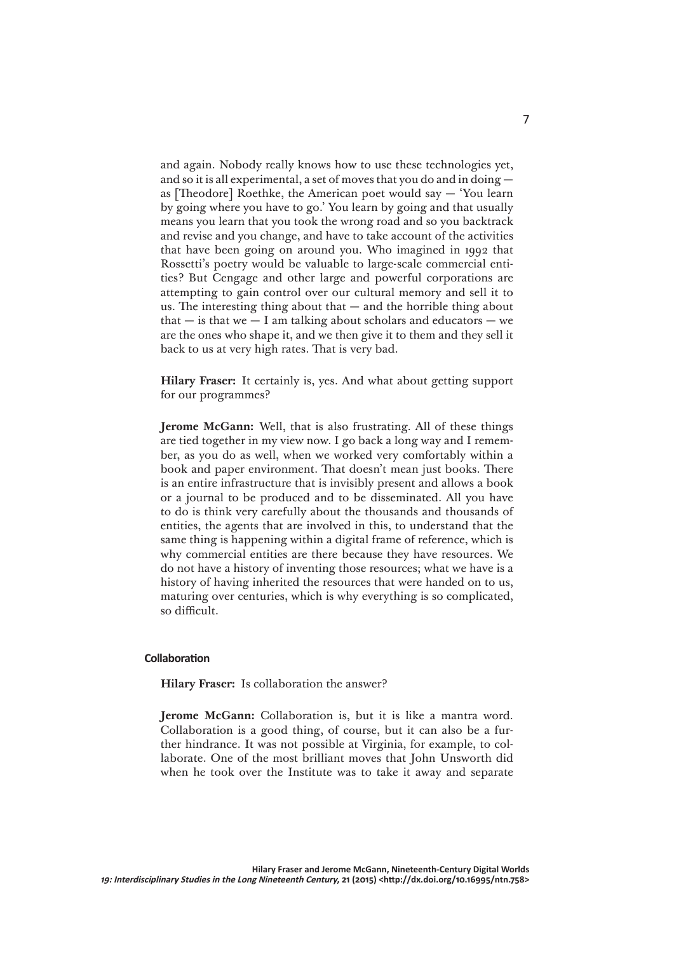and again. Nobody really knows how to use these technologies yet, and so it is all experimental, a set of moves that you do and in doing as [Theodore] Roethke, the American poet would say — 'You learn by going where you have to go.' You learn by going and that usually means you learn that you took the wrong road and so you backtrack and revise and you change, and have to take account of the activities that have been going on around you. Who imagined in 1992 that Rossetti's poetry would be valuable to large-scale commercial entities? But Cengage and other large and powerful corporations are attempting to gain control over our cultural memory and sell it to us. The interesting thing about that  $-$  and the horrible thing about that  $-$  is that we  $-$  I am talking about scholars and educators  $-$  we are the ones who shape it, and we then give it to them and they sell it back to us at very high rates. That is very bad.

**Hilary Fraser:** It certainly is, yes. And what about getting support for our programmes?

**Jerome McGann:** Well, that is also frustrating. All of these things are tied together in my view now. I go back a long way and I remember, as you do as well, when we worked very comfortably within a book and paper environment. That doesn't mean just books. There is an entire infrastructure that is invisibly present and allows a book or a journal to be produced and to be disseminated. All you have to do is think very carefully about the thousands and thousands of entities, the agents that are involved in this, to understand that the same thing is happening within a digital frame of reference, which is why commercial entities are there because they have resources. We do not have a history of inventing those resources; what we have is a history of having inherited the resources that were handed on to us, maturing over centuries, which is why everything is so complicated, so difficult.

### **Collaboration**

**Hilary Fraser:** Is collaboration the answer?

**Jerome McGann:** Collaboration is, but it is like a mantra word. Collaboration is a good thing, of course, but it can also be a further hindrance. It was not possible at Virginia, for example, to collaborate. One of the most brilliant moves that John Unsworth did when he took over the Institute was to take it away and separate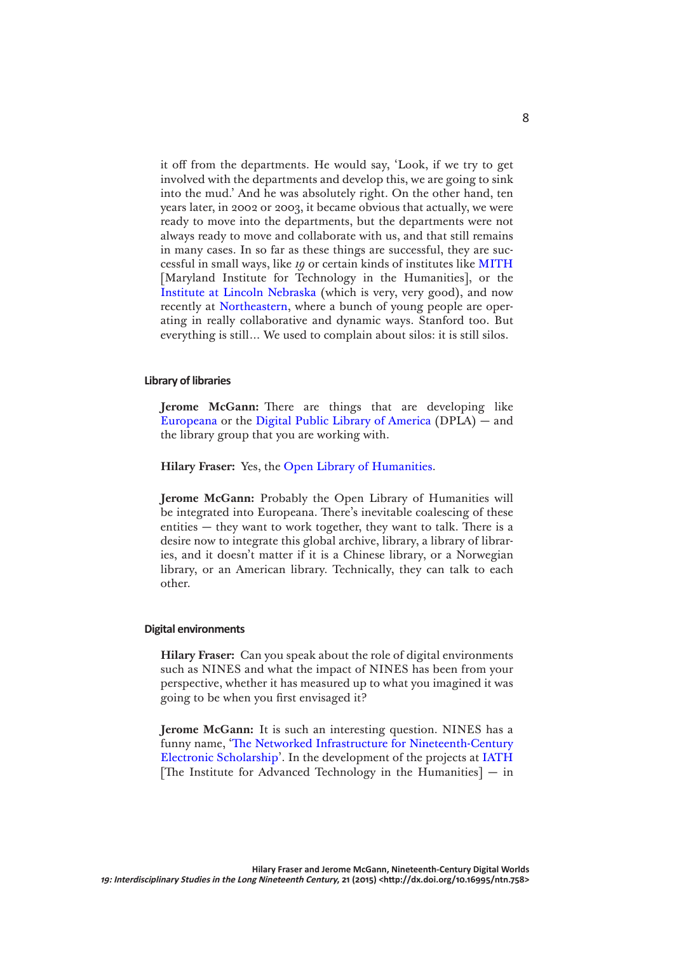it off from the departments. He would say, 'Look, if we try to get involved with the departments and develop this, we are going to sink into the mud.' And he was absolutely right. On the other hand, ten years later, in 2002 or 2003, it became obvious that actually, we were ready to move into the departments, but the departments were not always ready to move and collaborate with us, and that still remains in many cases. In so far as these things are successful, they are successful in small ways, like *19* or certain kinds of institutes like [MITH](http://mith.umd.edu) [Maryland Institute for Technology in the Humanities], or the [Institute at Lincoln Nebraska](http://cdrh.unl.edu) (which is very, very good), and now recently at [Northeastern](http://www.northeastern.edu/nulab/about/), where a bunch of young people are operating in really collaborative and dynamic ways. Stanford too. But everything is still… We used to complain about silos: it is still silos.

# **Library of libraries**

**Jerome McGann:** There are things that are developing like [Europeana](http://www.europeana.eu/portal/) or the [Digital Public Library of America](http://dp.la) (DPLA) — and the library group that you are working with.

**Hilary Fraser:** Yes, the [Open Library of Humanities](https://www.openlibhums.org).

**Jerome McGann:** Probably the Open Library of Humanities will be integrated into Europeana. There's inevitable coalescing of these entities  $-$  they want to work together, they want to talk. There is a desire now to integrate this global archive, library, a library of libraries, and it doesn't matter if it is a Chinese library, or a Norwegian library, or an American library. Technically, they can talk to each other.

### **Digital environments**

**Hilary Fraser:** Can you speak about the role of digital environments such as NINES and what the impact of NINES has been from your perspective, whether it has measured up to what you imagined it was going to be when you first envisaged it?

**Jerome McGann:** It is such an interesting question. NINES has a funny name, ['The Networked Infrastructure for Nineteenth-Century](http://www.nines.org/about/)  [Electronic Scholarship'](http://www.nines.org/about/). In the development of the projects at [IATH](http://www.iath.virginia.edu/) [The Institute for Advanced Technology in the Humanities]  $-$  in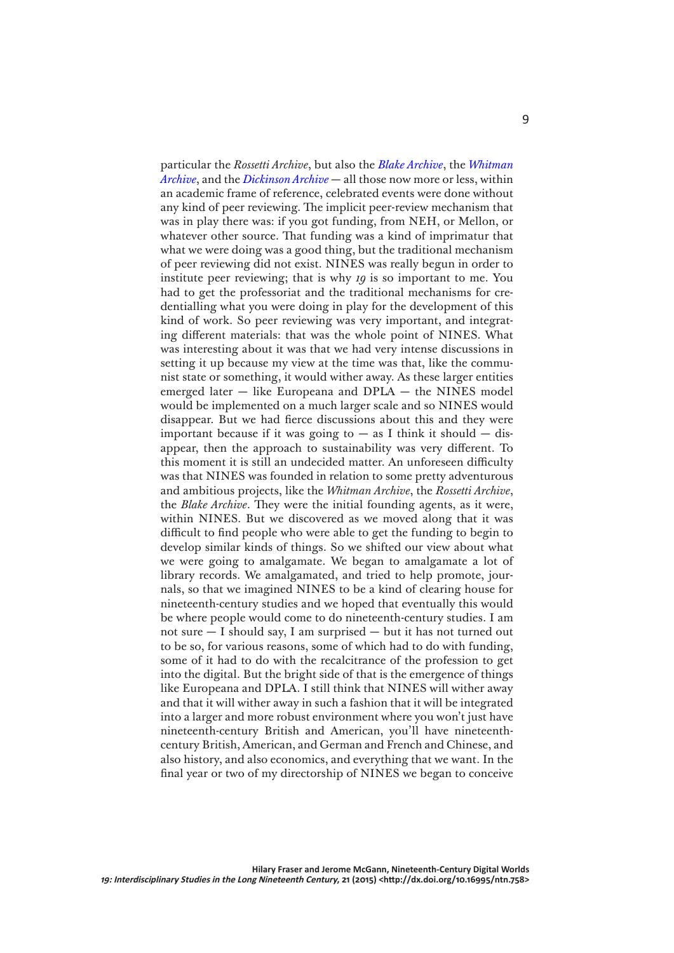particular the *Rossetti Archive*, but also the *[Blake Archive](http://www.blakearchive.org/)*, the *[Whitman](http://www.whitmanarchive.org/)  [Archive](http://www.whitmanarchive.org/)*, and the *[Dickinson Archive](http://www.edickinson.org/)* — all those now more or less, within an academic frame of reference, celebrated events were done without any kind of peer reviewing. The implicit peer-review mechanism that was in play there was: if you got funding, from NEH, or Mellon, or whatever other source. That funding was a kind of imprimatur that what we were doing was a good thing, but the traditional mechanism of peer reviewing did not exist. NINES was really begun in order to institute peer reviewing; that is why *19* is so important to me. You had to get the professoriat and the traditional mechanisms for credentialling what you were doing in play for the development of this kind of work. So peer reviewing was very important, and integrating different materials: that was the whole point of NINES. What was interesting about it was that we had very intense discussions in setting it up because my view at the time was that, like the communist state or something, it would wither away. As these larger entities emerged later — like Europeana and DPLA — the NINES model would be implemented on a much larger scale and so NINES would disappear. But we had fierce discussions about this and they were important because if it was going to  $-$  as I think it should  $-$  disappear, then the approach to sustainability was very different. To this moment it is still an undecided matter. An unforeseen difficulty was that NINES was founded in relation to some pretty adventurous and ambitious projects, like the *Whitman Archive*, the *Rossetti Archive*, the *Blake Archive*. They were the initial founding agents, as it were, within NINES. But we discovered as we moved along that it was difficult to find people who were able to get the funding to begin to develop similar kinds of things. So we shifted our view about what we were going to amalgamate. We began to amalgamate a lot of library records. We amalgamated, and tried to help promote, journals, so that we imagined NINES to be a kind of clearing house for nineteenth-century studies and we hoped that eventually this would be where people would come to do nineteenth-century studies. I am not sure — I should say, I am surprised — but it has not turned out to be so, for various reasons, some of which had to do with funding, some of it had to do with the recalcitrance of the profession to get into the digital. But the bright side of that is the emergence of things like Europeana and DPLA. I still think that NINES will wither away and that it will wither away in such a fashion that it will be integrated into a larger and more robust environment where you won't just have nineteenth-century British and American, you'll have nineteenthcentury British, American, and German and French and Chinese, and also history, and also economics, and everything that we want. In the final year or two of my directorship of NINES we began to conceive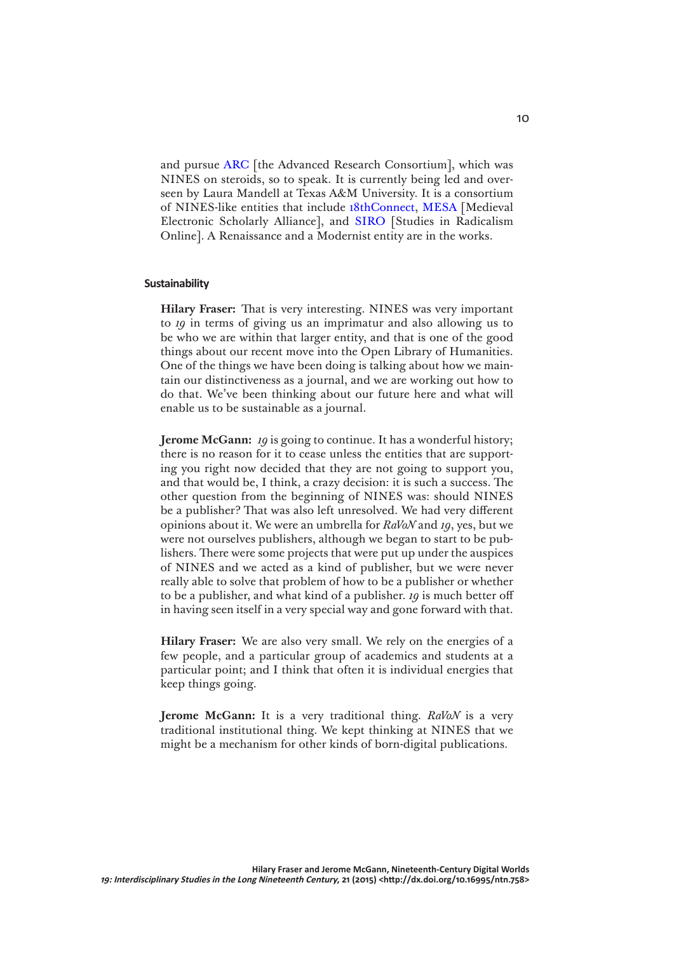and pursue [ARC](http://idhmc.tamu.edu/arcgrant/) [the Advanced Research Consortium], which was NINES on steroids, so to speak. It is currently being led and overseen by Laura Mandell at Texas A&M University. It is a consortium of NINES-like entities that include [18thConnect,](http://www.18thconnect.org/) [MESA](http://www.mesa-medieval.org/) [Medieval Electronic Scholarly Alliance], and [SIRO](http://www.studiesinradicalism.org/) [Studies in Radicalism Online]. A Renaissance and a Modernist entity are in the works.

# **Sustainability**

**Hilary Fraser:** That is very interesting. NINES was very important to *19* in terms of giving us an imprimatur and also allowing us to be who we are within that larger entity, and that is one of the good things about our recent move into the Open Library of Humanities. One of the things we have been doing is talking about how we maintain our distinctiveness as a journal, and we are working out how to do that. We've been thinking about our future here and what will enable us to be sustainable as a journal.

**Jerome McGann:** *19* is going to continue. It has a wonderful history; there is no reason for it to cease unless the entities that are supporting you right now decided that they are not going to support you, and that would be, I think, a crazy decision: it is such a success. The other question from the beginning of NINES was: should NINES be a publisher? That was also left unresolved. We had very different opinions about it. We were an umbrella for *RaVoN* and *19*, yes, but we were not ourselves publishers, although we began to start to be publishers. There were some projects that were put up under the auspices of NINES and we acted as a kind of publisher, but we were never really able to solve that problem of how to be a publisher or whether to be a publisher, and what kind of a publisher. *19* is much better off in having seen itself in a very special way and gone forward with that.

**Hilary Fraser:** We are also very small. We rely on the energies of a few people, and a particular group of academics and students at a particular point; and I think that often it is individual energies that keep things going.

**Jerome McGann:** It is a very traditional thing. *RaVoN* is a very traditional institutional thing. We kept thinking at NINES that we might be a mechanism for other kinds of born-digital publications.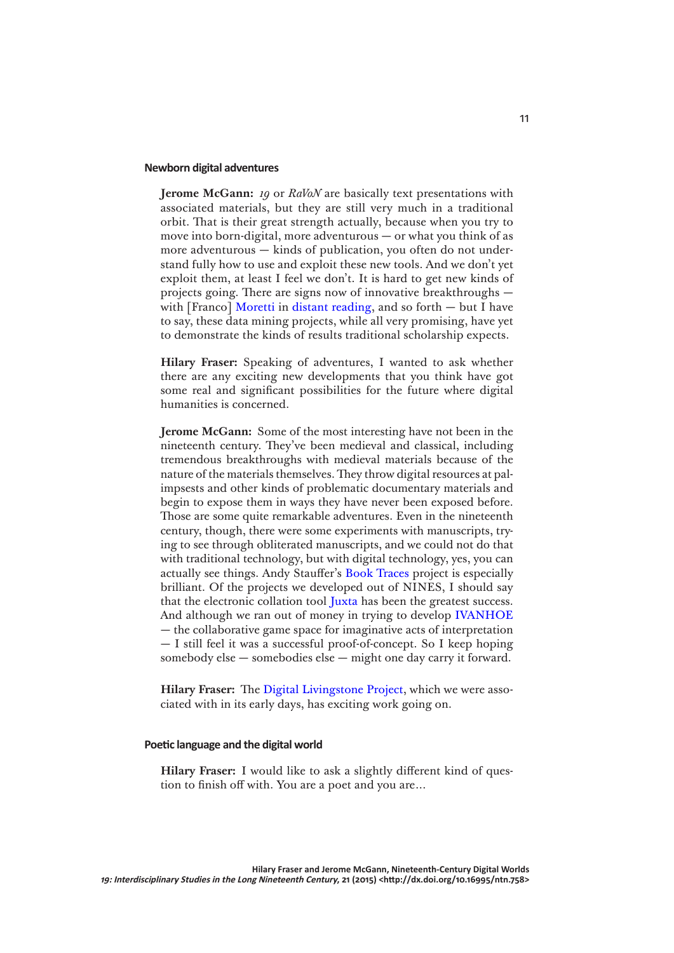#### **Newborn digital adventures**

**Jerome McGann:** *19* or *RaVoN* are basically text presentations with associated materials, but they are still very much in a traditional orbit. That is their great strength actually, because when you try to move into born-digital, more adventurous — or what you think of as more adventurous — kinds of publication, you often do not understand fully how to use and exploit these new tools. And we don't yet exploit them, at least I feel we don't. It is hard to get new kinds of projects going. There are signs now of innovative breakthroughs — with [Franco] [Moretti](https://english.stanford.edu/people/franco-moretti) in [distant reading](http://www.versobooks.com/books/1421-distant-reading), and so forth – but I have to say, these data mining projects, while all very promising, have yet to demonstrate the kinds of results traditional scholarship expects.

**Hilary Fraser:** Speaking of adventures, I wanted to ask whether there are any exciting new developments that you think have got some real and significant possibilities for the future where digital humanities is concerned.

**Jerome McGann:** Some of the most interesting have not been in the nineteenth century. They've been medieval and classical, including tremendous breakthroughs with medieval materials because of the nature of the materials themselves. They throw digital resources at palimpsests and other kinds of problematic documentary materials and begin to expose them in ways they have never been exposed before. Those are some quite remarkable adventures. Even in the nineteenth century, though, there were some experiments with manuscripts, trying to see through obliterated manuscripts, and we could not do that with traditional technology, but with digital technology, yes, you can actually see things. Andy Stauffer's [Book Traces](http://www.booktraces.org/) project is especially brilliant. Of the projects we developed out of NINES, I should say that the electronic collation tool [Juxta](http://www.juxtasoftware.org/about/) has been the greatest success. And although we ran out of money in trying to develop [IVANHOE](http://www.ivanhoegame.org/?page_id=21) — the collaborative game space for imaginative acts of interpretation — I still feel it was a successful proof-of-concept. So I keep hoping somebody else — somebodies else — might one day carry it forward.

**Hilary Fraser:** The [Digital Livingstone Project](http://livingstone.library.ucla.edu), which we were associated with in its early days, has exciting work going on.

#### **Poetic language and the digital world**

**Hilary Fraser:** I would like to ask a slightly different kind of question to finish off with. You are a poet and you are…